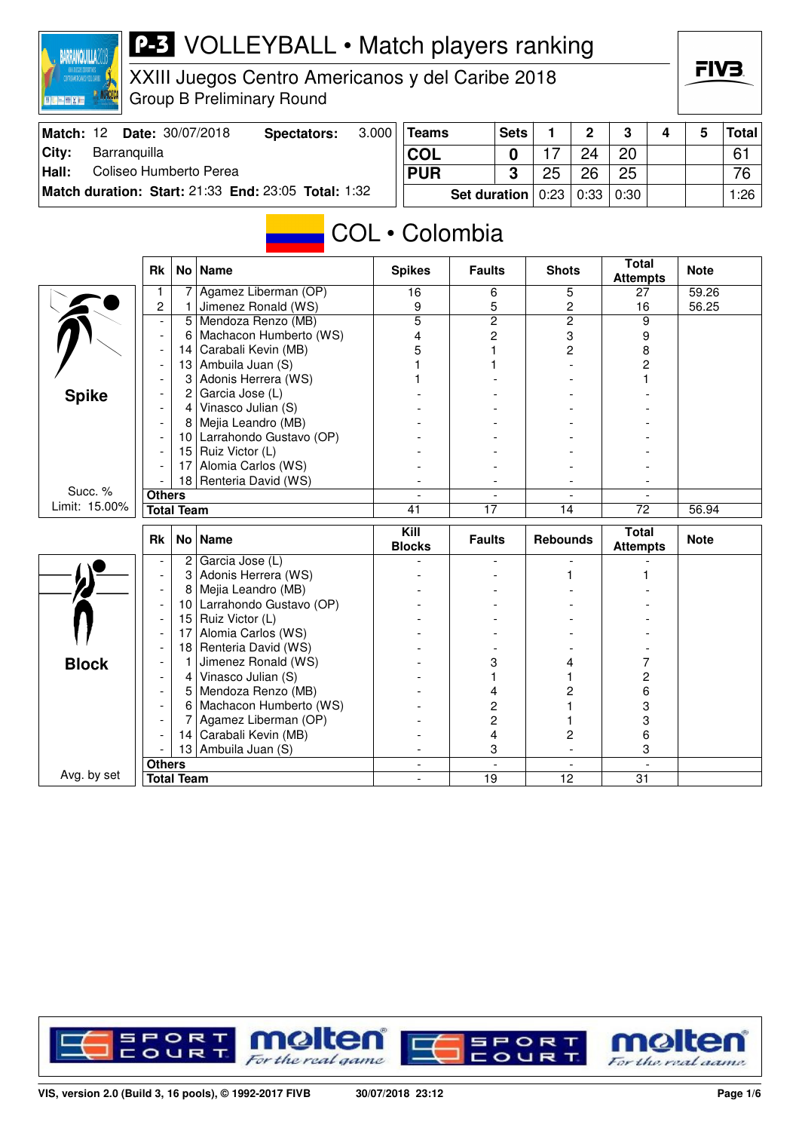

XXIII Juegos Centro Americanos y del Caribe 2018 Group B Preliminary Round

| Match: 12 | <b>Date: 30/07/2018</b>                             | Spectators: | 3.000                                    | <b>Teams</b> | <b>Sets</b> |    | <sup>o</sup> | $\bullet$ |  | <b>Total</b> |
|-----------|-----------------------------------------------------|-------------|------------------------------------------|--------------|-------------|----|--------------|-----------|--|--------------|
| City:     | Barranguilla                                        |             |                                          | <b>COL</b>   |             |    |              | 20        |  | 61           |
| Hall:     | Coliseo Humberto Perea                              |             |                                          | <b>PUR</b>   |             | 25 | 26           | 25        |  | 76           |
|           | Match duration: Start: 21:33 End: 23:05 Total: 1:32 |             | <b>Set duration</b> $0:23   0:33   0:30$ |              |             |    |              | 1:26      |  |              |

# COL • Colombia

|               | <b>Rk</b>                             |                   | No   Name               | <b>Spikes</b>                       | <b>Faults</b>            | <b>Shots</b>             | <b>Total</b><br><b>Attempts</b> | <b>Note</b> |
|---------------|---------------------------------------|-------------------|-------------------------|-------------------------------------|--------------------------|--------------------------|---------------------------------|-------------|
|               | 1                                     | 7                 | Agamez Liberman (OP)    | 16                                  | 6                        | 5                        | 27                              | 59.26       |
|               | $\overline{2}$                        | 1                 | Jimenez Ronald (WS)     | 9                                   | 5                        | $\overline{c}$           | 16                              | 56.25       |
|               | $\overline{\phantom{a}}$              | 5                 | Mendoza Renzo (MB)      | $\overline{5}$                      | $\overline{2}$           | $\overline{2}$           | 9                               |             |
|               | $\overline{\phantom{a}}$              | 6                 | Machacon Humberto (WS)  | 4                                   | $\overline{c}$           | 3                        | 9                               |             |
|               |                                       | 14                | Carabali Kevin (MB)     | 5                                   | 1                        | $\overline{c}$           | 8                               |             |
|               |                                       | 13                | Ambuila Juan (S)        |                                     | 1                        |                          | 2                               |             |
|               |                                       | 3                 | Adonis Herrera (WS)     |                                     |                          |                          |                                 |             |
| <b>Spike</b>  |                                       | $\overline{c}$    | Garcia Jose (L)         |                                     |                          |                          |                                 |             |
|               |                                       | $\overline{4}$    | Vinasco Julian (S)      |                                     |                          |                          |                                 |             |
|               |                                       | 8                 | Mejia Leandro (MB)      |                                     |                          |                          |                                 |             |
|               |                                       | 10 <sup>1</sup>   | Larrahondo Gustavo (OP) |                                     |                          |                          |                                 |             |
|               |                                       | 15                | Ruiz Victor (L)         |                                     |                          |                          |                                 |             |
|               |                                       | 17                | Alomia Carlos (WS)      |                                     |                          |                          |                                 |             |
|               |                                       |                   | 18 Renteria David (WS)  |                                     |                          |                          |                                 |             |
| Succ. %       | <b>Others</b>                         |                   |                         |                                     |                          |                          |                                 |             |
| Limit: 15.00% |                                       | <b>Total Team</b> |                         | 41                                  | $\overline{17}$          | 14                       | $\overline{72}$                 | 56.94       |
|               | <b>Rk</b><br><b>No</b><br><b>Name</b> |                   |                         | $\overline{K}$ ill<br><b>Blocks</b> | <b>Faults</b>            | <b>Rebounds</b>          | <b>Total</b><br><b>Attempts</b> | <b>Note</b> |
|               |                                       | 2                 | Garcia Jose (L)         |                                     | ۰                        |                          |                                 |             |
|               | $\overline{\phantom{a}}$              | 3                 | Adonis Herrera (WS)     |                                     |                          |                          |                                 |             |
|               | $\overline{a}$                        | 8                 | Mejia Leandro (MB)      |                                     |                          |                          |                                 |             |
|               |                                       | 10                | Larrahondo Gustavo (OP) |                                     |                          |                          |                                 |             |
|               |                                       | 15                | Ruiz Victor (L)         |                                     |                          |                          |                                 |             |
|               |                                       | 17                | Alomia Carlos (WS)      |                                     |                          |                          |                                 |             |
|               |                                       | 18                | Renteria David (WS)     |                                     |                          |                          |                                 |             |
| <b>Block</b>  |                                       | 1                 | Jimenez Ronald (WS)     |                                     | 3                        | 4                        | 7                               |             |
|               |                                       | 4                 | Vinasco Julian (S)      |                                     |                          |                          | 2                               |             |
|               |                                       | 5                 | Mendoza Renzo (MB)      |                                     | 4                        | 2                        | 6                               |             |
|               |                                       | 6                 | Machacon Humberto (WS)  |                                     | $\overline{c}$           |                          | 3                               |             |
|               |                                       |                   | Agamez Liberman (OP)    |                                     | $\overline{c}$           |                          | 3                               |             |
|               |                                       | 14                | Carabali Kevin (MB)     |                                     | 4                        | 2                        | 6                               |             |
|               |                                       | 13                | Ambuila Juan (S)        |                                     | 3                        |                          | 3                               |             |
|               |                                       |                   |                         |                                     |                          |                          |                                 |             |
| Avg. by set   | <b>Others</b>                         |                   |                         | $\overline{\phantom{a}}$            | $\overline{\phantom{a}}$ | $\overline{\phantom{a}}$ | $\blacksquare$                  |             |

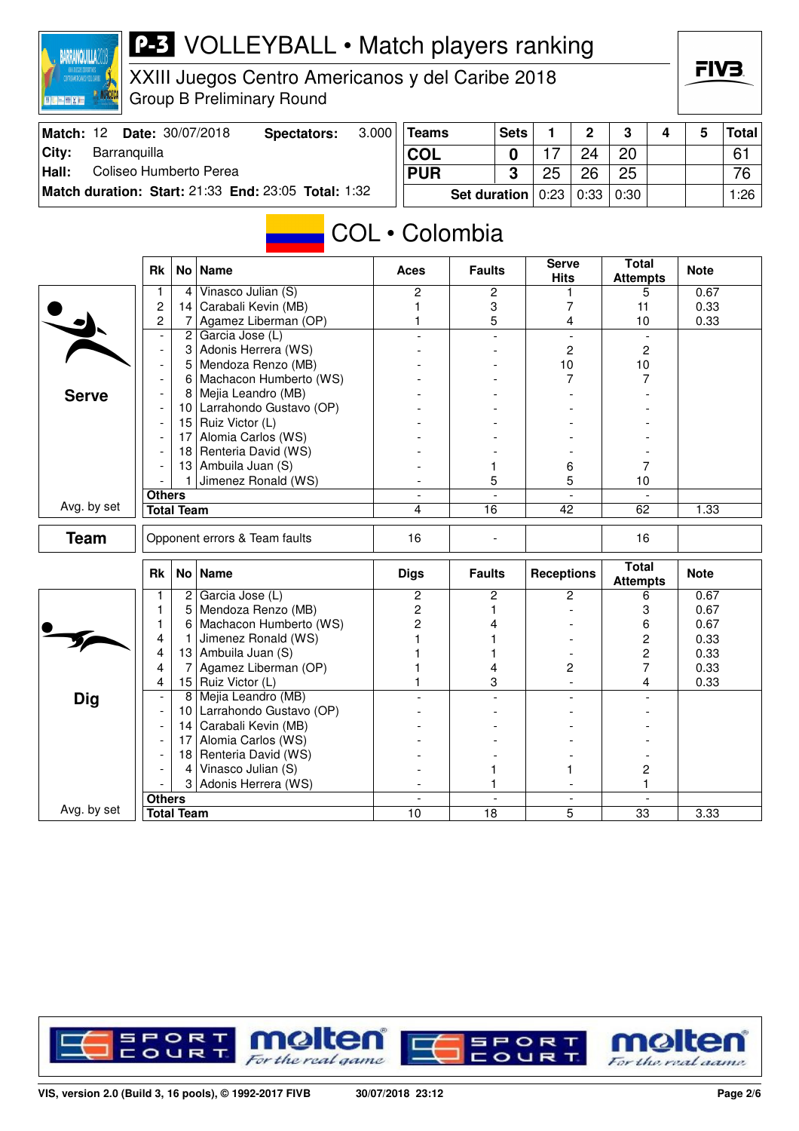

XXIII Juegos Centro Americanos y del Caribe 2018 Group B Preliminary Round

| Match: 12 | <b>Date: 30/07/2018</b>                             | Spectators:                              | 3.000 | <b>Teams</b> | <b>Sets</b> |    | n,   | ≏  |  | Total│ |
|-----------|-----------------------------------------------------|------------------------------------------|-------|--------------|-------------|----|------|----|--|--------|
| City:     | Barranquilla                                        |                                          |       | <b>COL</b>   |             |    |      | 20 |  | 61     |
| Hall:     | Coliseo Humberto Perea                              |                                          |       | <b>PUR</b>   |             | 25 | 26   | 25 |  | 76     |
|           | Match duration: Start: 21:33 End: 23:05 Total: 1:32 | <b>Set duration</b> $0:23   0:33   0:30$ |       |              |             |    | 1:26 |    |  |        |

# COL • Colombia

|              | <b>Rk</b>                     |                   | No   Name                  | <b>Aces</b>    | <b>Faults</b>   | <b>Serve</b><br><b>Hits</b> | <b>Total</b><br><b>Attempts</b> | <b>Note</b> |
|--------------|-------------------------------|-------------------|----------------------------|----------------|-----------------|-----------------------------|---------------------------------|-------------|
|              | 1                             | $\overline{4}$    | Vinasco Julian (S)         | $\mathbf{2}$   | 2               |                             | 5                               | 0.67        |
|              | 2                             | 14                | Carabali Kevin (MB)        |                | 3               | 7                           | 11                              | 0.33        |
|              | $\overline{c}$                | 7                 | Agamez Liberman (OP)       |                | 5               | 4                           | 10                              | 0.33        |
|              | $\blacksquare$                | $\mathbf{2}$      | Garcia Jose (L)            | $\overline{a}$ | $\overline{a}$  | $\overline{a}$              | $\overline{a}$                  |             |
|              | $\overline{\phantom{a}}$      | 3                 | Adonis Herrera (WS)        |                |                 | $\overline{c}$              | $\overline{c}$                  |             |
|              |                               | 5                 | Mendoza Renzo (MB)         |                |                 | 10                          | 10                              |             |
|              |                               | 6                 | Machacon Humberto (WS)     |                |                 | 7                           | 7                               |             |
| <b>Serve</b> |                               | 8                 | Mejia Leandro (MB)         |                |                 |                             |                                 |             |
|              | $\overline{\phantom{a}}$      |                   | 10 Larrahondo Gustavo (OP) |                |                 |                             |                                 |             |
|              | $\overline{a}$                |                   | 15 Ruiz Victor (L)         |                |                 |                             |                                 |             |
|              | $\overline{\phantom{a}}$      | 17                | Alomia Carlos (WS)         |                |                 |                             |                                 |             |
|              |                               | 18 <sup>1</sup>   | Renteria David (WS)        |                |                 |                             |                                 |             |
|              |                               | 13                | Ambuila Juan (S)           |                | 1               | 6                           | 7                               |             |
|              |                               | $\mathbf{1}$      | Jimenez Ronald (WS)        |                | 5               | 5                           | 10                              |             |
|              | <b>Others</b>                 |                   |                            | $\mathbf{r}$   | $\overline{a}$  | $\sim$                      | $\sim$                          |             |
| Avg. by set  |                               | <b>Total Team</b> |                            | 4              | $\overline{16}$ | 42                          | 62                              | 1.33        |
| <b>Team</b>  | Opponent errors & Team faults |                   | 16                         |                |                 | 16                          |                                 |             |
|              | Rk                            |                   | No   Name                  | <b>Digs</b>    | <b>Faults</b>   | <b>Receptions</b>           | <b>Total</b><br><b>Attempts</b> | <b>Note</b> |
|              | 1                             | 2                 | Garcia Jose (L)            | $\mathbf{2}$   | $\overline{c}$  | $\overline{c}$              | 6                               | 0.67        |
|              | 1                             | 5                 | Mendoza Renzo (MB)         | $\overline{c}$ | 1               |                             | 3                               | 0.67        |
|              | 1                             | 6                 | Machacon Humberto (WS)     | $\overline{2}$ | 4               |                             | 6                               | 0.67        |
|              | 4                             | 1                 | Jimenez Ronald (WS)        |                |                 |                             | $\overline{c}$                  | 0.33        |
|              | 4                             | 13                | Ambuila Juan (S)           |                |                 |                             | $\overline{c}$                  | 0.33        |
|              | 4                             | 7                 | Agamez Liberman (OP)       |                | 4               | 2                           | $\overline{7}$                  | 0.33        |
|              | 4                             |                   | 15 Ruiz Victor (L)         |                | 3               |                             | 4                               | 0.33        |
| Dig          | $\overline{\phantom{a}}$      | 8                 | Mejia Leandro (MB)         |                |                 | $\overline{\phantom{a}}$    |                                 |             |
|              | $\overline{\phantom{a}}$      | 10 <sup>1</sup>   | Larrahondo Gustavo (OP)    |                |                 |                             |                                 |             |
|              | $\overline{\phantom{a}}$      | 14                | Carabali Kevin (MB)        |                |                 |                             |                                 |             |
|              |                               | 17                | Alomia Carlos (WS)         |                |                 |                             |                                 |             |
|              |                               |                   | 18 Renteria David (WS)     |                |                 |                             |                                 |             |
|              |                               | $\vert$           | Vinasco Julian (S)         |                | 1               |                             | 2                               |             |
|              |                               | 3                 | Adonis Herrera (WS)        |                | 1               |                             | 1                               |             |
|              | <b>Others</b>                 |                   |                            | $\sim$         | $\blacksquare$  | $\blacksquare$              | $\blacksquare$                  |             |
| Avg. by set  |                               | <b>Total Team</b> |                            | 10             | 18              | 5                           | 33                              | 3.33        |

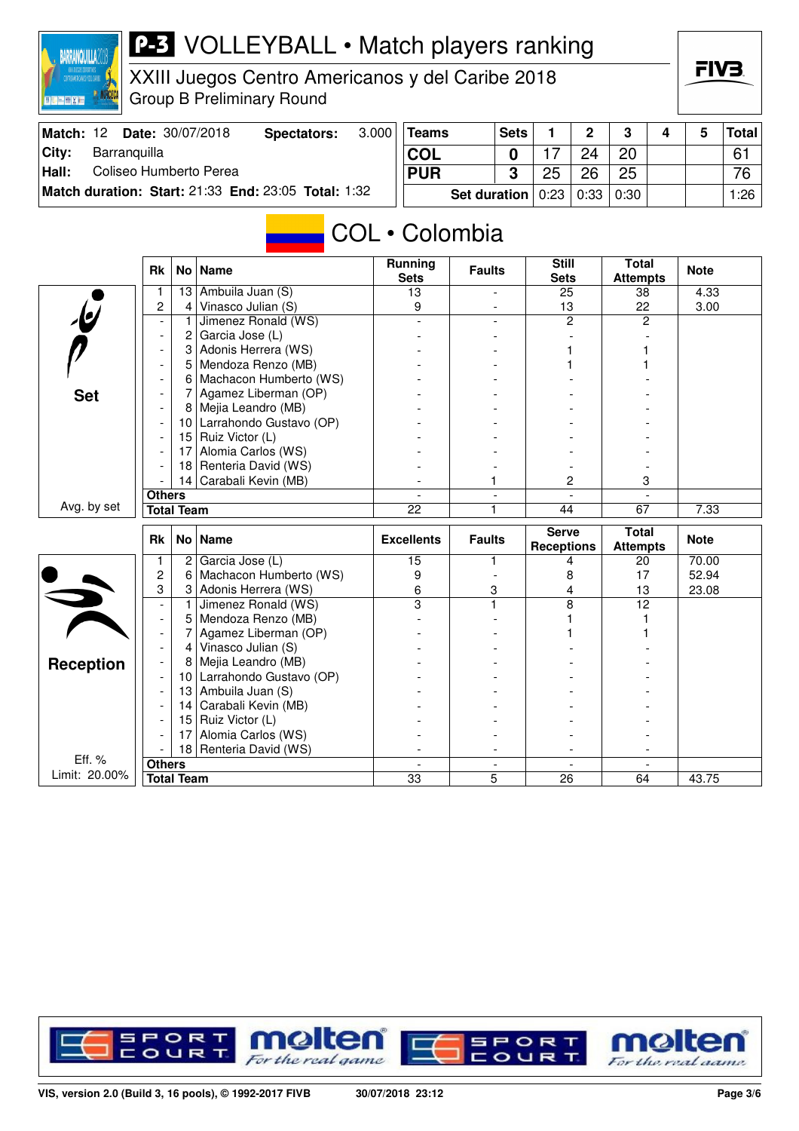

XXIII Juegos Centro Americanos y del Caribe 2018 Group B Preliminary Round

| Match: 12 | <b>Date: 30/07/2018</b> | Spectators:                                         | 3.000                                    | Teams      | <b>Sets</b> |    |    | າ  |      | Total |
|-----------|-------------------------|-----------------------------------------------------|------------------------------------------|------------|-------------|----|----|----|------|-------|
| City:     | Barranquilla            |                                                     |                                          | <b>COL</b> |             |    | 24 | 20 |      | 61    |
| Hall:     | Coliseo Humberto Perea  |                                                     |                                          | <b>PUR</b> |             | 25 | 26 | 25 |      | 76    |
|           |                         | Match duration: Start: 21:33 End: 23:05 Total: 1:32 | <b>Set duration</b> $0:23   0:33   0:30$ |            |             |    |    |    | 1:26 |       |

# COL • Colombia

|                         | <b>Rk</b>                | No l              | <b>Name</b>             | Running<br><b>Sets</b> | <b>Faults</b>            | <b>Still</b><br><b>Sets</b>       | <b>Total</b><br><b>Attempts</b> | <b>Note</b> |
|-------------------------|--------------------------|-------------------|-------------------------|------------------------|--------------------------|-----------------------------------|---------------------------------|-------------|
|                         | 1                        | 13                | Ambuila Juan (S)        | 13                     |                          | 25                                | 38                              | 4.33        |
| $\overline{b}$          | 2                        | $\overline{4}$    | Vinasco Julian (S)      | 9                      |                          | 13                                | 22                              | 3.00        |
|                         | $\blacksquare$           | 1                 | Jimenez Ronald (WS)     |                        |                          | $\overline{2}$                    | 2                               |             |
|                         | $\overline{\phantom{a}}$ | 2                 | Garcia Jose (L)         |                        |                          |                                   |                                 |             |
|                         | $\overline{\phantom{a}}$ | 3                 | Adonis Herrera (WS)     |                        |                          |                                   |                                 |             |
|                         |                          | 5                 | Mendoza Renzo (MB)      |                        |                          |                                   |                                 |             |
|                         |                          | 6                 | Machacon Humberto (WS)  |                        |                          |                                   |                                 |             |
| <b>Set</b>              |                          | 7                 | Agamez Liberman (OP)    |                        |                          |                                   |                                 |             |
|                         |                          | 8                 | Mejia Leandro (MB)      |                        |                          |                                   |                                 |             |
|                         |                          | 10 <sup>1</sup>   | Larrahondo Gustavo (OP) |                        |                          |                                   |                                 |             |
|                         |                          | 15                | Ruiz Victor (L)         |                        |                          |                                   |                                 |             |
|                         |                          | 17                | Alomia Carlos (WS)      |                        |                          |                                   |                                 |             |
|                         |                          | 18                | Renteria David (WS)     |                        |                          |                                   |                                 |             |
|                         |                          | 14                | Carabali Kevin (MB)     |                        |                          | $\overline{c}$                    | 3                               |             |
|                         | <b>Others</b>            |                   |                         |                        | $\overline{\phantom{a}}$ |                                   |                                 |             |
| Avg. by set             |                          | <b>Total Team</b> |                         | 22                     | 1                        | 44                                | 67                              | 7.33        |
|                         |                          |                   |                         |                        |                          |                                   |                                 |             |
|                         | <b>Rk</b>                |                   | No   Name               | <b>Excellents</b>      | <b>Faults</b>            | <b>Serve</b><br><b>Receptions</b> | <b>Total</b><br><b>Attempts</b> | <b>Note</b> |
|                         | 1                        | 2                 | Garcia Jose (L)         | 15                     | 1                        | 4                                 | 20                              | 70.00       |
|                         | 2                        | 6                 | Machacon Humberto (WS)  | 9                      |                          | 8                                 | 17                              | 52.94       |
|                         | 3                        | 3                 | Adonis Herrera (WS)     | 6                      | 3                        | 4                                 | 13                              | 23.08       |
|                         | $\blacksquare$           | 1                 | Jimenez Ronald (WS)     | $\overline{3}$         | 1                        | 8                                 | 12                              |             |
| $\Leftrightarrow$       | $\overline{\phantom{a}}$ | 5                 | Mendoza Renzo (MB)      |                        |                          |                                   |                                 |             |
|                         |                          | 7                 | Agamez Liberman (OP)    |                        |                          |                                   |                                 |             |
|                         |                          | 4                 | Vinasco Julian (S)      |                        |                          |                                   |                                 |             |
|                         | $\overline{\phantom{a}}$ | 8                 | Mejia Leandro (MB)      |                        |                          |                                   |                                 |             |
| <b>Reception</b>        |                          | 10                | Larrahondo Gustavo (OP) |                        |                          |                                   |                                 |             |
|                         |                          | 13                | Ambuila Juan (S)        |                        |                          |                                   |                                 |             |
|                         |                          | 14                | Carabali Kevin (MB)     |                        |                          |                                   |                                 |             |
|                         |                          | 15                | Ruiz Victor (L)         |                        |                          |                                   |                                 |             |
|                         |                          | 17                | Alomia Carlos (WS)      |                        |                          |                                   |                                 |             |
|                         |                          | 18                | Renteria David (WS)     |                        |                          |                                   |                                 |             |
| Eff. %<br>Limit: 20.00% | <b>Others</b>            | <b>Total Team</b> |                         | $\overline{a}$<br>33   | $\blacksquare$<br>5      | $\sim$<br>26                      | $\overline{a}$<br>64            | 43.75       |

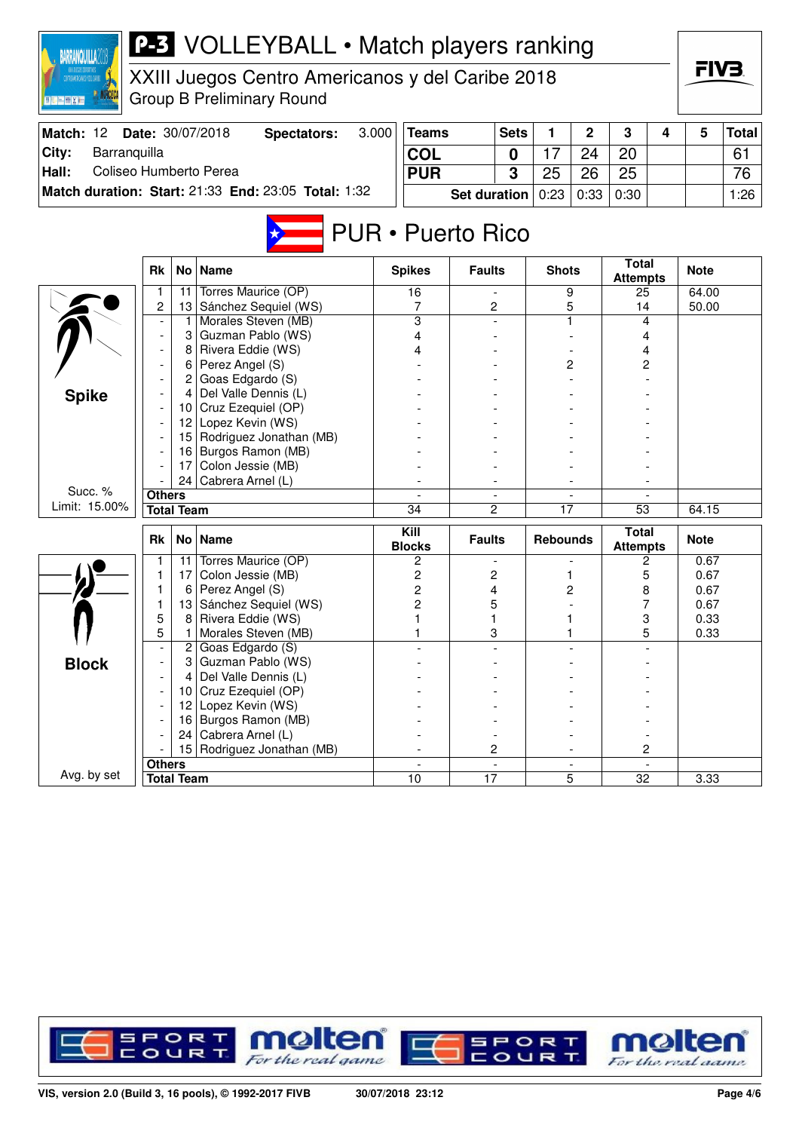| IXII ILGGOS DOPORTIVOS<br>Tattorancocanos y del carine<br>XXIII Juegos Centro Americanos y del Caribe 2018<br><b>Group B Preliminary Round</b><br>Date: 30/07/2018 |                                    |                   |                                                     |                       |                          |                 |                     |                 |                |                                 |   |              | FIV3.        |
|--------------------------------------------------------------------------------------------------------------------------------------------------------------------|------------------------------------|-------------------|-----------------------------------------------------|-----------------------|--------------------------|-----------------|---------------------|-----------------|----------------|---------------------------------|---|--------------|--------------|
| Match: 12                                                                                                                                                          |                                    |                   | <b>Spectators:</b>                                  | 3.000<br><b>Teams</b> |                          |                 | <b>Sets</b>         | 1               | $\overline{2}$ | 3                               | 4 | 5            | <b>Total</b> |
| City:<br>Barranquilla                                                                                                                                              |                                    |                   |                                                     |                       | <b>COL</b>               |                 | 0                   | 17              | 24             | 20                              |   |              | 61           |
| Coliseo Humberto Perea<br>Hall:                                                                                                                                    |                                    |                   |                                                     | <b>PUR</b>            |                          |                 | 3                   | 25              | 26             | 25                              |   |              | 76           |
|                                                                                                                                                                    |                                    |                   | Match duration: Start: 21:33 End: 23:05 Total: 1:32 | <b>Set duration</b>   |                          |                 |                     | 0:23            | 0:33           | 0:30                            |   |              | 1:26         |
|                                                                                                                                                                    |                                    |                   |                                                     |                       | <b>PUR</b> • Puerto Rico |                 |                     |                 |                | <b>Total</b>                    |   |              |              |
|                                                                                                                                                                    | <b>Rk</b>                          |                   | No Name                                             |                       | <b>Spikes</b>            | <b>Faults</b>   |                     | <b>Shots</b>    |                | <b>Attempts</b>                 |   | <b>Note</b>  |              |
|                                                                                                                                                                    | 1                                  | 11                | Torres Maurice (OP)                                 |                       | 16                       |                 |                     |                 | 9              | 25                              |   | 64.00        |              |
|                                                                                                                                                                    | 2<br>$\overline{\phantom{a}}$      | 13                | Sánchez Sequiel (WS)<br>Morales Steven (MB)         |                       | 7<br>3                   |                 | 2                   |                 | 5<br>1         | 14<br>4                         |   | 50.00        |              |
|                                                                                                                                                                    | 3<br>Guzman Pablo (WS)             |                   |                                                     |                       | 4                        |                 |                     |                 |                | 4                               |   |              |              |
|                                                                                                                                                                    |                                    | 8                 | Rivera Eddie (WS)                                   |                       |                          |                 |                     |                 |                | 4                               |   |              |              |
|                                                                                                                                                                    |                                    | 6                 | Perez Angel (S)                                     |                       |                          |                 |                     |                 | 2              | 2                               |   |              |              |
|                                                                                                                                                                    |                                    | 2                 | Goas Edgardo (S)                                    |                       |                          |                 |                     |                 |                |                                 |   |              |              |
| <b>Spike</b>                                                                                                                                                       | Del Valle Dennis (L)<br>4          |                   |                                                     |                       |                          |                 |                     |                 |                |                                 |   |              |              |
|                                                                                                                                                                    |                                    | 10                | Cruz Ezequiel (OP)                                  |                       |                          |                 |                     |                 |                |                                 |   |              |              |
|                                                                                                                                                                    |                                    | 12 <sup>2</sup>   | Lopez Kevin (WS)                                    |                       |                          |                 |                     |                 |                |                                 |   |              |              |
|                                                                                                                                                                    |                                    | 15                | Rodriguez Jonathan (MB)                             |                       |                          |                 |                     |                 |                |                                 |   |              |              |
|                                                                                                                                                                    |                                    | 16                | Burgos Ramon (MB)                                   |                       |                          |                 |                     |                 |                |                                 |   |              |              |
|                                                                                                                                                                    |                                    | 17<br>24          | Colon Jessie (MB)<br>Cabrera Arnel (L)              |                       |                          | 2               |                     | $\overline{17}$ |                | 53                              |   |              |              |
| Succ. %                                                                                                                                                            | <b>Others</b>                      |                   |                                                     |                       |                          |                 |                     |                 |                |                                 |   |              |              |
| Limit: 15.00%                                                                                                                                                      |                                    | <b>Total Team</b> |                                                     |                       | 34                       |                 |                     |                 |                |                                 |   | 64.15        |              |
|                                                                                                                                                                    |                                    |                   |                                                     |                       |                          |                 |                     |                 |                |                                 |   |              |              |
|                                                                                                                                                                    | Rk                                 |                   | No   Name                                           |                       | Kill<br><b>Blocks</b>    | <b>Faults</b>   |                     | <b>Rebounds</b> |                | <b>Total</b><br><b>Attempts</b> |   | <b>Note</b>  |              |
|                                                                                                                                                                    | 1                                  | 11                | Torres Maurice (OP)                                 |                       | 2                        |                 |                     |                 |                | 2                               |   | 0.67         |              |
|                                                                                                                                                                    | 1                                  | 17                | Colon Jessie (MB)                                   |                       | 2                        |                 | 2                   | 1               |                | 5                               |   | 0.67         |              |
|                                                                                                                                                                    | 1                                  | 6                 | Perez Angel (S)                                     |                       | 2                        |                 | 4                   |                 | 2              | 8                               |   | 0.67         |              |
|                                                                                                                                                                    | 1<br>5                             | 13<br>8           | Sánchez Sequiel (WS)<br>Rivera Eddie (WS)           |                       | 2                        | 1               | 5                   |                 |                | 7<br>3                          |   | 0.67<br>0.33 |              |
|                                                                                                                                                                    | 5                                  | 1                 | Morales Steven (MB)                                 |                       |                          |                 | 3                   |                 |                | 5                               |   | 0.33         |              |
|                                                                                                                                                                    |                                    | $\overline{2}$    | Goas Edgardo (S)                                    |                       |                          |                 |                     |                 |                |                                 |   |              |              |
| <b>Block</b>                                                                                                                                                       |                                    | 3                 | Guzman Pablo (WS)                                   |                       |                          |                 |                     |                 |                |                                 |   |              |              |
|                                                                                                                                                                    |                                    | 4                 | Del Valle Dennis (L)                                |                       |                          |                 |                     |                 |                |                                 |   |              |              |
|                                                                                                                                                                    |                                    |                   | 10 Cruz Ezequiel (OP)                               |                       |                          |                 |                     |                 |                |                                 |   |              |              |
|                                                                                                                                                                    |                                    | 12                | Lopez Kevin (WS)                                    |                       |                          |                 |                     |                 |                |                                 |   |              |              |
|                                                                                                                                                                    |                                    |                   | 16 Burgos Ramon (MB)                                |                       |                          |                 |                     |                 |                |                                 |   |              |              |
|                                                                                                                                                                    |                                    | 24                | Cabrera Arnel (L)                                   |                       |                          |                 |                     |                 |                |                                 |   |              |              |
|                                                                                                                                                                    |                                    | 15                | Rodriguez Jonathan (MB)                             |                       |                          |                 | 2<br>$\blacksquare$ |                 |                | 2                               |   |              |              |
| Avg. by set                                                                                                                                                        | <b>Others</b><br><b>Total Team</b> |                   |                                                     |                       | 10                       | $\overline{17}$ |                     |                 | 5              | 32                              |   | 3.33         |              |
|                                                                                                                                                                    |                                    |                   |                                                     |                       |                          |                 |                     |                 |                |                                 |   |              |              |

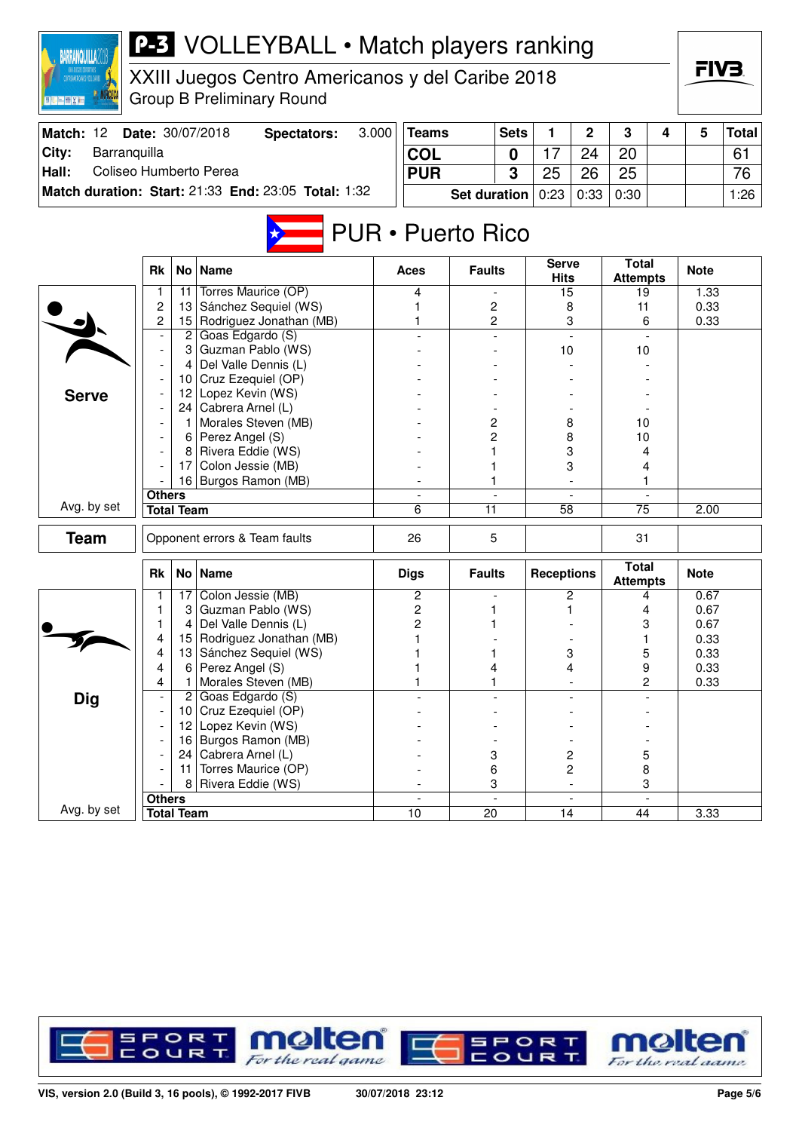| 3.000<br>Match: 12<br>Date: 30/07/2018<br><b>Sets</b><br>$\overline{2}$<br>5<br><b>Teams</b><br>1<br>3<br><b>Total</b><br><b>Spectators:</b><br>4<br>Barranquilla<br>City:<br><b>COL</b><br>17<br>24<br>20<br>61<br>$\mathbf 0$<br>Coliseo Humberto Perea<br>Hall:<br>3<br>25<br>25<br><b>PUR</b><br>26<br>76<br>Match duration: Start: 21:33 End: 23:05 Total: 1:32<br>0:23<br>0:33<br>0:30<br><b>Set duration</b><br>1:26<br><b>PUR • Puerto Rico</b><br><b>Total</b><br><b>Serve</b><br>No   Name<br><b>Rk</b><br><b>Faults</b><br><b>Note</b><br>Aces<br><b>Hits</b><br><b>Attempts</b><br>Torres Maurice (OP)<br>11<br>4<br>1<br>15<br>19<br>1.33<br>$\overline{\phantom{a}}$<br>2<br>Sánchez Sequiel (WS)<br>13<br>2<br>0.33<br>8<br>11<br>Rodriguez Jonathan (MB)<br>2<br>2<br>15<br>3<br>0.33<br>6<br>$2$ Goas Edgardo (S)<br>3 Guzman Pablo (WS)<br>10<br>10<br>Del Valle Dennis (L)<br>4<br>10 Cruz Ezequiel (OP)<br>Lopez Kevin (WS)<br>12<br><b>Serve</b><br>24 Cabrera Arnel (L)<br>Morales Steven (MB)<br>$\overline{c}$<br>8<br>$1^{\circ}$<br>10<br>6 Perez Angel (S)<br>$\overline{2}$<br>8<br>10 |
|--------------------------------------------------------------------------------------------------------------------------------------------------------------------------------------------------------------------------------------------------------------------------------------------------------------------------------------------------------------------------------------------------------------------------------------------------------------------------------------------------------------------------------------------------------------------------------------------------------------------------------------------------------------------------------------------------------------------------------------------------------------------------------------------------------------------------------------------------------------------------------------------------------------------------------------------------------------------------------------------------------------------------------------------------------------------------------------------------------------------|
|                                                                                                                                                                                                                                                                                                                                                                                                                                                                                                                                                                                                                                                                                                                                                                                                                                                                                                                                                                                                                                                                                                                    |
|                                                                                                                                                                                                                                                                                                                                                                                                                                                                                                                                                                                                                                                                                                                                                                                                                                                                                                                                                                                                                                                                                                                    |
|                                                                                                                                                                                                                                                                                                                                                                                                                                                                                                                                                                                                                                                                                                                                                                                                                                                                                                                                                                                                                                                                                                                    |
|                                                                                                                                                                                                                                                                                                                                                                                                                                                                                                                                                                                                                                                                                                                                                                                                                                                                                                                                                                                                                                                                                                                    |
|                                                                                                                                                                                                                                                                                                                                                                                                                                                                                                                                                                                                                                                                                                                                                                                                                                                                                                                                                                                                                                                                                                                    |
|                                                                                                                                                                                                                                                                                                                                                                                                                                                                                                                                                                                                                                                                                                                                                                                                                                                                                                                                                                                                                                                                                                                    |
|                                                                                                                                                                                                                                                                                                                                                                                                                                                                                                                                                                                                                                                                                                                                                                                                                                                                                                                                                                                                                                                                                                                    |
|                                                                                                                                                                                                                                                                                                                                                                                                                                                                                                                                                                                                                                                                                                                                                                                                                                                                                                                                                                                                                                                                                                                    |
|                                                                                                                                                                                                                                                                                                                                                                                                                                                                                                                                                                                                                                                                                                                                                                                                                                                                                                                                                                                                                                                                                                                    |
|                                                                                                                                                                                                                                                                                                                                                                                                                                                                                                                                                                                                                                                                                                                                                                                                                                                                                                                                                                                                                                                                                                                    |
|                                                                                                                                                                                                                                                                                                                                                                                                                                                                                                                                                                                                                                                                                                                                                                                                                                                                                                                                                                                                                                                                                                                    |
|                                                                                                                                                                                                                                                                                                                                                                                                                                                                                                                                                                                                                                                                                                                                                                                                                                                                                                                                                                                                                                                                                                                    |
|                                                                                                                                                                                                                                                                                                                                                                                                                                                                                                                                                                                                                                                                                                                                                                                                                                                                                                                                                                                                                                                                                                                    |
|                                                                                                                                                                                                                                                                                                                                                                                                                                                                                                                                                                                                                                                                                                                                                                                                                                                                                                                                                                                                                                                                                                                    |
|                                                                                                                                                                                                                                                                                                                                                                                                                                                                                                                                                                                                                                                                                                                                                                                                                                                                                                                                                                                                                                                                                                                    |
|                                                                                                                                                                                                                                                                                                                                                                                                                                                                                                                                                                                                                                                                                                                                                                                                                                                                                                                                                                                                                                                                                                                    |
| Rivera Eddie (WS)<br>3<br>8<br>1<br>4                                                                                                                                                                                                                                                                                                                                                                                                                                                                                                                                                                                                                                                                                                                                                                                                                                                                                                                                                                                                                                                                              |
| Colon Jessie (MB)<br>3<br>17<br>4                                                                                                                                                                                                                                                                                                                                                                                                                                                                                                                                                                                                                                                                                                                                                                                                                                                                                                                                                                                                                                                                                  |
| 16 Burgos Ramon (MB)<br>1                                                                                                                                                                                                                                                                                                                                                                                                                                                                                                                                                                                                                                                                                                                                                                                                                                                                                                                                                                                                                                                                                          |
| <b>Others</b><br>Avg. by set<br><b>Total Team</b><br>6<br>11<br>75<br>58<br>2.00                                                                                                                                                                                                                                                                                                                                                                                                                                                                                                                                                                                                                                                                                                                                                                                                                                                                                                                                                                                                                                   |
|                                                                                                                                                                                                                                                                                                                                                                                                                                                                                                                                                                                                                                                                                                                                                                                                                                                                                                                                                                                                                                                                                                                    |
| <b>Team</b><br>5<br>Opponent errors & Team faults<br>26<br>31                                                                                                                                                                                                                                                                                                                                                                                                                                                                                                                                                                                                                                                                                                                                                                                                                                                                                                                                                                                                                                                      |
| <b>Total</b><br><b>Name</b><br><b>Receptions</b><br><b>Rk</b><br>No <sub>1</sub><br><b>Digs</b><br><b>Faults</b><br><b>Note</b><br><b>Attempts</b>                                                                                                                                                                                                                                                                                                                                                                                                                                                                                                                                                                                                                                                                                                                                                                                                                                                                                                                                                                 |
| Colon Jessie (MB)<br>2<br>2<br>0.67<br>17 <sup>1</sup><br>4                                                                                                                                                                                                                                                                                                                                                                                                                                                                                                                                                                                                                                                                                                                                                                                                                                                                                                                                                                                                                                                        |
| Guzman Pablo (WS)<br>2<br>0.67<br>1<br>3<br>4                                                                                                                                                                                                                                                                                                                                                                                                                                                                                                                                                                                                                                                                                                                                                                                                                                                                                                                                                                                                                                                                      |
| Del Valle Dennis (L)<br>2<br>3<br>1<br>0.67<br>4<br>1                                                                                                                                                                                                                                                                                                                                                                                                                                                                                                                                                                                                                                                                                                                                                                                                                                                                                                                                                                                                                                                              |
| Rodriguez Jonathan (MB)<br>0.33<br>4<br>15<br>1<br>1                                                                                                                                                                                                                                                                                                                                                                                                                                                                                                                                                                                                                                                                                                                                                                                                                                                                                                                                                                                                                                                               |
| 5<br>13 Sánchez Sequiel (WS)<br>3<br>0.33<br>4<br>1<br>4<br>Perez Angel (S)<br>4<br>6 <br>4                                                                                                                                                                                                                                                                                                                                                                                                                                                                                                                                                                                                                                                                                                                                                                                                                                                                                                                                                                                                                        |
| 9<br>0.33<br>Morales Steven (MB)<br>4<br>2<br>0.33<br>1                                                                                                                                                                                                                                                                                                                                                                                                                                                                                                                                                                                                                                                                                                                                                                                                                                                                                                                                                                                                                                                            |
| Goas Edgardo (S)<br><b>Dig</b><br>$\overline{2}$                                                                                                                                                                                                                                                                                                                                                                                                                                                                                                                                                                                                                                                                                                                                                                                                                                                                                                                                                                                                                                                                   |
| Cruz Ezequiel (OP)<br>10 I                                                                                                                                                                                                                                                                                                                                                                                                                                                                                                                                                                                                                                                                                                                                                                                                                                                                                                                                                                                                                                                                                         |
| Lopez Kevin (WS)<br>12                                                                                                                                                                                                                                                                                                                                                                                                                                                                                                                                                                                                                                                                                                                                                                                                                                                                                                                                                                                                                                                                                             |
| Burgos Ramon (MB)<br>16                                                                                                                                                                                                                                                                                                                                                                                                                                                                                                                                                                                                                                                                                                                                                                                                                                                                                                                                                                                                                                                                                            |
| 24   Cabrera Arnel (L)<br>3<br>2<br>5                                                                                                                                                                                                                                                                                                                                                                                                                                                                                                                                                                                                                                                                                                                                                                                                                                                                                                                                                                                                                                                                              |
| Torres Maurice (OP)<br>$\overline{c}$<br>6<br>8<br>11                                                                                                                                                                                                                                                                                                                                                                                                                                                                                                                                                                                                                                                                                                                                                                                                                                                                                                                                                                                                                                                              |
| Rivera Eddie (WS)<br>3<br>8<br>3<br>$\overline{\phantom{a}}$                                                                                                                                                                                                                                                                                                                                                                                                                                                                                                                                                                                                                                                                                                                                                                                                                                                                                                                                                                                                                                                       |
| <b>Others</b><br>$\overline{\phantom{a}}$<br>$\overline{\phantom{a}}$<br>$\overline{\phantom{0}}$<br>Avg. by set<br><b>Total Team</b><br>$\overline{10}$<br>$\overline{20}$<br>$\overline{14}$<br>3.33<br>44                                                                                                                                                                                                                                                                                                                                                                                                                                                                                                                                                                                                                                                                                                                                                                                                                                                                                                       |